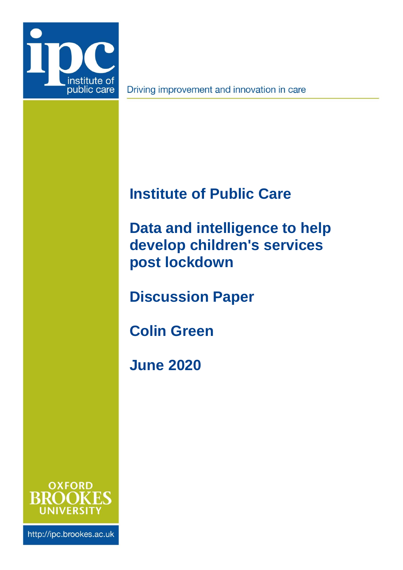

Driving improvement and innovation in care

# **Institute of Public Care**

<span id="page-0-0"></span>**Data and intelligence to help develop children's services post lockdown**

**Discussion Paper**

**Colin Green**

**June 2020**



http://ipc.brookes.ac.uk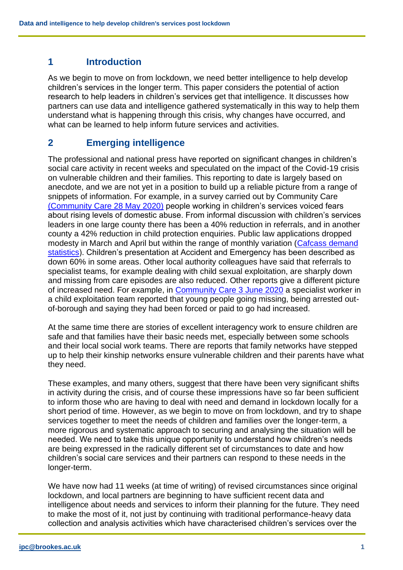#### **1 Introduction**

As we begin to move on from lockdown, we need better intelligence to help develop children's services in the longer term. This paper considers the potential of action research to help leaders in children's services get that intelligence. It discusses how partners can use data and intelligence gathered systematically in this way to help them understand what is happening through this crisis, why changes have occurred, and what can be learned to help inform future services and activities.

### **2 Emerging intelligence**

The professional and national press have reported on significant changes in children's social care activity in recent weeks and speculated on the impact of the Covid-19 crisis on vulnerable children and their families. This reporting to date is largely based on anecdote, and we are not yet in a position to build up a reliable picture from a range of snippets of information. For example, in a survey carried out by Community Care [\(Community Care 28 May 2020\)](https://www.communitycare.co.uk/2020/05/28/social-workers-say-coronavirus-negatively-affected-services-people-they-support/) people working in children's services voiced fears about rising levels of domestic abuse. From informal discussion with children's services leaders in one large county there has been a 40% reduction in referrals, and in another county a 42% reduction in child protection enquiries. Public law applications dropped modesty in March and April but within the range of monthly variation (Cafcass [demand](https://www.cafcass.gov.uk/about-cafcass/research-and-data/public-law-data/)  [statistics\)](https://www.cafcass.gov.uk/about-cafcass/research-and-data/public-law-data/). Children's presentation at Accident and Emergency has been described as down 60% in some areas. Other local authority colleagues have said that referrals to specialist teams, for example dealing with child sexual exploitation, are sharply down and missing from care episodes are also reduced. Other reports give a different picture of increased need. For example, in [Community Care 3 June 2020](https://www.communitycare.co.uk/2020/06/03/social-workers-perspectives-practice-coronavirus-lockdown/) a specialist worker in a child exploitation team reported that young people going missing, being arrested outof-borough and saying they had been forced or paid to go had increased.

At the same time there are stories of excellent interagency work to ensure children are safe and that families have their basic needs met, especially between some schools and their local social work teams. There are reports that family networks have stepped up to help their kinship networks ensure vulnerable children and their parents have what they need.

These examples, and many others, suggest that there have been very significant shifts in activity during the crisis, and of course these impressions have so far been sufficient to inform those who are having to deal with need and demand in lockdown locally for a short period of time. However, as we begin to move on from lockdown, and try to shape services together to meet the needs of children and families over the longer-term, a more rigorous and systematic approach to securing and analysing the situation will be needed. We need to take this unique opportunity to understand how children's needs are being expressed in the radically different set of circumstances to date and how children's social care services and their partners can respond to these needs in the longer-term.

We have now had 11 weeks (at time of writing) of revised circumstances since original lockdown, and local partners are beginning to have sufficient recent data and intelligence about needs and services to inform their planning for the future. They need to make the most of it, not just by continuing with traditional performance-heavy data collection and analysis activities which have characterised children's services over the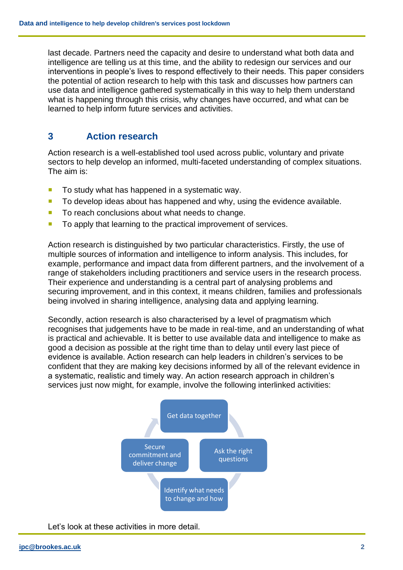last decade. Partners need the capacity and desire to understand what both data and intelligence are telling us at this time, and the ability to redesign our services and our interventions in people's lives to respond effectively to their needs. This paper considers the potential of action research to help with this task and discusses how partners can use data and intelligence gathered systematically in this way to help them understand what is happening through this crisis, why changes have occurred, and what can be learned to help inform future services and activities.

## **3 Action research**

Action research is a well-established tool used across public, voluntary and private sectors to help develop an informed, multi-faceted understanding of complex situations. The aim is:

- $\blacksquare$  To study what has happened in a systematic way.
- To develop ideas about has happened and why, using the evidence available.
- To reach conclusions about what needs to change.
- To apply that learning to the practical improvement of services.

Action research is distinguished by two particular characteristics. Firstly, the use of multiple sources of information and intelligence to inform analysis. This includes, for example, performance and impact data from different partners, and the involvement of a range of stakeholders including practitioners and service users in the research process. Their experience and understanding is a central part of analysing problems and securing improvement, and in this context, it means children, families and professionals being involved in sharing intelligence, analysing data and applying learning.

Secondly, action research is also characterised by a level of pragmatism which recognises that judgements have to be made in real-time, and an understanding of what is practical and achievable. It is better to use available data and intelligence to make as good a decision as possible at the right time than to delay until every last piece of evidence is available. Action research can help leaders in children's services to be confident that they are making key decisions informed by all of the relevant evidence in a systematic, realistic and timely way. An action research approach in children's services just now might, for example, involve the following interlinked activities:



Let's look at these activities in more detail.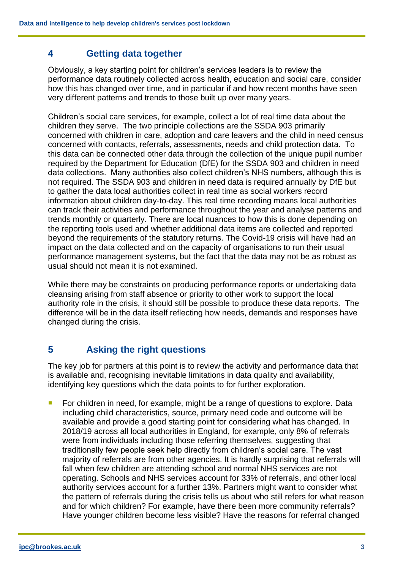# **4 Getting data together**

Obviously, a key starting point for children's services leaders is to review the performance data routinely collected across health, education and social care, consider how this has changed over time, and in particular if and how recent months have seen very different patterns and trends to those built up over many years.

Children's social care services, for example, collect a lot of real time data about the children they serve. The two principle collections are the SSDA 903 primarily concerned with children in care, adoption and care leavers and the child in need census concerned with contacts, referrals, assessments, needs and child protection data. To this data can be connected other data through the collection of the unique pupil number required by the Department for Education (DfE) for the SSDA 903 and children in need data collections. Many authorities also collect children's NHS numbers, although this is not required. The SSDA 903 and children in need data is required annually by DfE but to gather the data local authorities collect in real time as social workers record information about children day-to-day. This real time recording means local authorities can track their activities and performance throughout the year and analyse patterns and trends monthly or quarterly. There are local nuances to how this is done depending on the reporting tools used and whether additional data items are collected and reported beyond the requirements of the statutory returns. The Covid-19 crisis will have had an impact on the data collected and on the capacity of organisations to run their usual performance management systems, but the fact that the data may not be as robust as usual should not mean it is not examined.

While there may be constraints on producing performance reports or undertaking data cleansing arising from staff absence or priority to other work to support the local authority role in the crisis, it should still be possible to produce these data reports. The difference will be in the data itself reflecting how needs, demands and responses have changed during the crisis.

# **5 Asking the right questions**

The key job for partners at this point is to review the activity and performance data that is available and, recognising inevitable limitations in data quality and availability, identifying key questions which the data points to for further exploration.

 For children in need, for example, might be a range of questions to explore. Data including child characteristics, source, primary need code and outcome will be available and provide a good starting point for considering what has changed. In 2018/19 across all local authorities in England, for example, only 8% of referrals were from individuals including those referring themselves, suggesting that traditionally few people seek help directly from children's social care. The vast majority of referrals are from other agencies. It is hardly surprising that referrals will fall when few children are attending school and normal NHS services are not operating. Schools and NHS services account for 33% of referrals, and other local authority services account for a further 13%. Partners might want to consider what the pattern of referrals during the crisis tells us about who still refers for what reason and for which children? For example, have there been more community referrals? Have younger children become less visible? Have the reasons for referral changed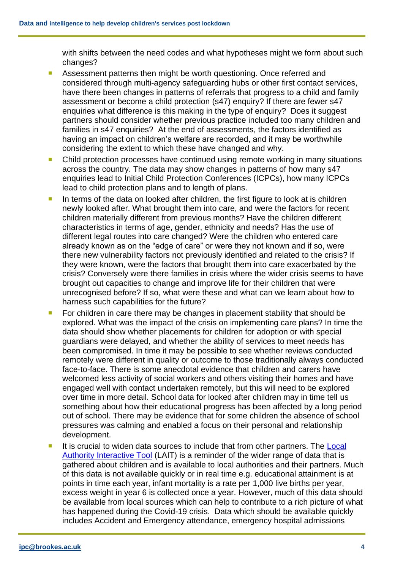with shifts between the need codes and what hypotheses might we form about such changes?

- **Assessment patterns then might be worth questioning. Once referred and** considered through multi-agency safeguarding hubs or other first contact services, have there been changes in patterns of referrals that progress to a child and family assessment or become a child protection (s47) enquiry? If there are fewer s47 enquiries what difference is this making in the type of enquiry? Does it suggest partners should consider whether previous practice included too many children and families in s47 enquiries? At the end of assessments, the factors identified as having an impact on children's welfare are recorded, and it may be worthwhile considering the extent to which these have changed and why.
- Child protection processes have continued using remote working in many situations across the country. The data may show changes in patterns of how many s47 enquiries lead to Initial Child Protection Conferences (ICPCs), how many ICPCs lead to child protection plans and to length of plans.
- In terms of the data on looked after children, the first figure to look at is children newly looked after. What brought them into care, and were the factors for recent children materially different from previous months? Have the children different characteristics in terms of age, gender, ethnicity and needs? Has the use of different legal routes into care changed? Were the children who entered care already known as on the "edge of care" or were they not known and if so, were there new vulnerability factors not previously identified and related to the crisis? If they were known, were the factors that brought them into care exacerbated by the crisis? Conversely were there families in crisis where the wider crisis seems to have brought out capacities to change and improve life for their children that were unrecognised before? If so, what were these and what can we learn about how to harness such capabilities for the future?
- For children in care there may be changes in placement stability that should be explored. What was the impact of the crisis on implementing care plans? In time the data should show whether placements for children for adoption or with special guardians were delayed, and whether the ability of services to meet needs has been compromised. In time it may be possible to see whether reviews conducted remotely were different in quality or outcome to those traditionally always conducted face-to-face. There is some anecdotal evidence that children and carers have welcomed less activity of social workers and others visiting their homes and have engaged well with contact undertaken remotely, but this will need to be explored over time in more detail. School data for looked after children may in time tell us something about how their educational progress has been affected by a long period out of school. There may be evidence that for some children the absence of school pressures was calming and enabled a focus on their personal and relationship development.
- It is crucial to widen data sources to include that from other partners. The Local [Authority Interactive Tool](https://www.gov.uk/government/publications/local-authority-interactive-tool-lait) (LAIT) is a reminder of the wider range of data that is gathered about children and is available to local authorities and their partners. Much of this data is not available quickly or in real time e.g. educational attainment is at points in time each year, infant mortality is a rate per 1,000 live births per year, excess weight in year 6 is collected once a year. However, much of this data should be available from local sources which can help to contribute to a rich picture of what has happened during the Covid-19 crisis. Data which should be available quickly includes Accident and Emergency attendance, emergency hospital admissions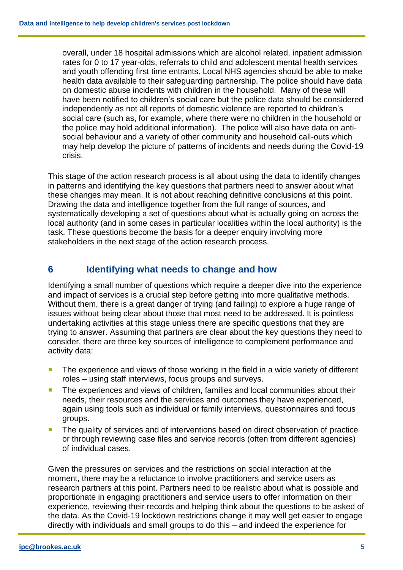overall, under 18 hospital admissions which are alcohol related, inpatient admission rates for 0 to 17 year-olds, referrals to child and adolescent mental health services and youth offending first time entrants. Local NHS agencies should be able to make health data available to their safeguarding partnership. The police should have data on domestic abuse incidents with children in the household. Many of these will have been notified to children's social care but the police data should be considered independently as not all reports of domestic violence are reported to children's social care (such as, for example, where there were no children in the household or the police may hold additional information). The police will also have data on antisocial behaviour and a variety of other community and household call-outs which may help develop the picture of patterns of incidents and needs during the Covid-19 crisis.

This stage of the action research process is all about using the data to identify changes in patterns and identifying the key questions that partners need to answer about what these changes may mean. It is not about reaching definitive conclusions at this point. Drawing the data and intelligence together from the full range of sources, and systematically developing a set of questions about what is actually going on across the local authority (and in some cases in particular localities within the local authority) is the task. These questions become the basis for a deeper enquiry involving more stakeholders in the next stage of the action research process.

# **6 Identifying what needs to change and how**

Identifying a small number of questions which require a deeper dive into the experience and impact of services is a crucial step before getting into more qualitative methods. Without them, there is a great danger of trying (and failing) to explore a huge range of issues without being clear about those that most need to be addressed. It is pointless undertaking activities at this stage unless there are specific questions that they are trying to answer. Assuming that partners are clear about the key questions they need to consider, there are three key sources of intelligence to complement performance and activity data:

- **The experience and views of those working in the field in a wide variety of different** roles – using staff interviews, focus groups and surveys.
- The experiences and views of children, families and local communities about their needs, their resources and the services and outcomes they have experienced, again using tools such as individual or family interviews, questionnaires and focus groups.
- **The quality of services and of interventions based on direct observation of practice** or through reviewing case files and service records (often from different agencies) of individual cases.

Given the pressures on services and the restrictions on social interaction at the moment, there may be a reluctance to involve practitioners and service users as research partners at this point. Partners need to be realistic about what is possible and proportionate in engaging practitioners and service users to offer information on their experience, reviewing their records and helping think about the questions to be asked of the data. As the Covid-19 lockdown restrictions change it may well get easier to engage directly with individuals and small groups to do this – and indeed the experience for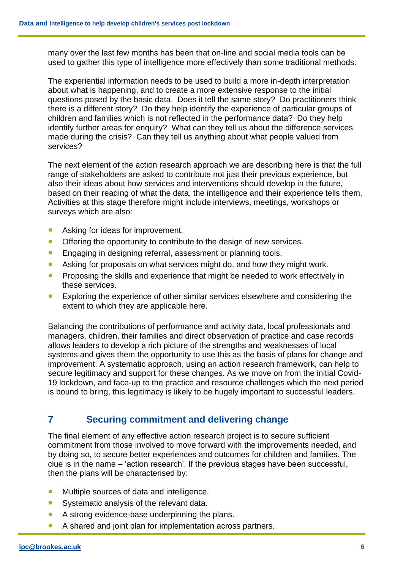many over the last few months has been that on-line and social media tools can be used to gather this type of intelligence more effectively than some traditional methods.

The experiential information needs to be used to build a more in-depth interpretation about what is happening, and to create a more extensive response to the initial questions posed by the basic data. Does it tell the same story? Do practitioners think there is a different story? Do they help identify the experience of particular groups of children and families which is not reflected in the performance data? Do they help identify further areas for enquiry? What can they tell us about the difference services made during the crisis? Can they tell us anything about what people valued from services?

The next element of the action research approach we are describing here is that the full range of stakeholders are asked to contribute not just their previous experience, but also their ideas about how services and interventions should develop in the future, based on their reading of what the data, the intelligence and their experience tells them. Activities at this stage therefore might include interviews, meetings, workshops or surveys which are also:

- **Asking for ideas for improvement.**
- **Offering the opportunity to contribute to the design of new services.**
- **Engaging in designing referral, assessment or planning tools.**
- Asking for proposals on what services might do, and how they might work.
- **Proposing the skills and experience that might be needed to work effectively in** these services.
- **Exploring the experience of other similar services elsewhere and considering the** extent to which they are applicable here.

Balancing the contributions of performance and activity data, local professionals and managers, children, their families and direct observation of practice and case records allows leaders to develop a rich picture of the strengths and weaknesses of local systems and gives them the opportunity to use this as the basis of plans for change and improvement. A systematic approach, using an action research framework, can help to secure legitimacy and support for these changes. As we move on from the initial Covid-19 lockdown, and face-up to the practice and resource challenges which the next period is bound to bring, this legitimacy is likely to be hugely important to successful leaders.

# **7 Securing commitment and delivering change**

The final element of any effective action research project is to secure sufficient commitment from those involved to move forward with the improvements needed, and by doing so, to secure better experiences and outcomes for children and families. The clue is in the name – 'action research'. If the previous stages have been successful, then the plans will be characterised by:

- **Multiple sources of data and intelligence.**
- Systematic analysis of the relevant data.
- A strong evidence-base underpinning the plans.
- A shared and joint plan for implementation across partners.